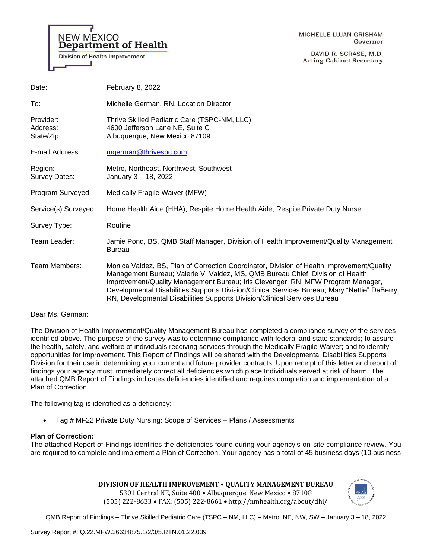

DAVID R. SCRASE, M.D. **Acting Cabinet Secretary** 

| Date:                               | February 8, 2022                                                                                                                                                                                                                                                                                                                                                                                                                             |
|-------------------------------------|----------------------------------------------------------------------------------------------------------------------------------------------------------------------------------------------------------------------------------------------------------------------------------------------------------------------------------------------------------------------------------------------------------------------------------------------|
| To:                                 | Michelle German, RN, Location Director                                                                                                                                                                                                                                                                                                                                                                                                       |
| Provider:<br>Address:<br>State/Zip: | Thrive Skilled Pediatric Care (TSPC-NM, LLC)<br>4600 Jefferson Lane NE, Suite C<br>Albuquerque, New Mexico 87109                                                                                                                                                                                                                                                                                                                             |
| E-mail Address:                     | mgerman@thrivespc.com                                                                                                                                                                                                                                                                                                                                                                                                                        |
| Region:<br>Survey Dates:            | Metro, Northeast, Northwest, Southwest<br>January 3 - 18, 2022                                                                                                                                                                                                                                                                                                                                                                               |
| Program Surveyed:                   | Medically Fragile Waiver (MFW)                                                                                                                                                                                                                                                                                                                                                                                                               |
| Service(s) Surveyed:                | Home Health Aide (HHA), Respite Home Health Aide, Respite Private Duty Nurse                                                                                                                                                                                                                                                                                                                                                                 |
| Survey Type:                        | Routine                                                                                                                                                                                                                                                                                                                                                                                                                                      |
| Team Leader:                        | Jamie Pond, BS, QMB Staff Manager, Division of Health Improvement/Quality Management<br><b>Bureau</b>                                                                                                                                                                                                                                                                                                                                        |
| Team Members:                       | Monica Valdez, BS, Plan of Correction Coordinator, Division of Health Improvement/Quality<br>Management Bureau; Valerie V. Valdez, MS, QMB Bureau Chief, Division of Health<br>Improvement/Quality Management Bureau; Iris Clevenger, RN, MFW Program Manager,<br>Developmental Disabilities Supports Division/Clinical Services Bureau; Mary "Nettie" DeBerry,<br>RN, Developmental Disabilities Supports Division/Clinical Services Bureau |

## Dear Ms. German:

The Division of Health Improvement/Quality Management Bureau has completed a compliance survey of the services identified above. The purpose of the survey was to determine compliance with federal and state standards; to assure the health, safety, and welfare of individuals receiving services through the Medically Fragile Waiver; and to identify opportunities for improvement. This Report of Findings will be shared with the Developmental Disabilities Supports Division for their use in determining your current and future provider contracts. Upon receipt of this letter and report of findings your agency must immediately correct all deficiencies which place Individuals served at risk of harm. The attached QMB Report of Findings indicates deficiencies identified and requires completion and implementation of a Plan of Correction.

The following tag is identified as a deficiency:

• Tag # MF22 Private Duty Nursing: Scope of Services – Plans / Assessments

## **Plan of Correction:**

The attached Report of Findings identifies the deficiencies found during your agency's on-site compliance review. You are required to complete and implement a Plan of Correction. Your agency has a total of 45 business days (10 business

## **DIVISION OF HEALTH IMPROVEMENT • QUALITY MANAGEMENT BUREAU**

5301 Central NE, Suite 400 • Albuquerque, New Mexico • 87108 (505) 222-8633 • FAX: (505) 222-8661 • http://nmhealth.org/about/dhi/

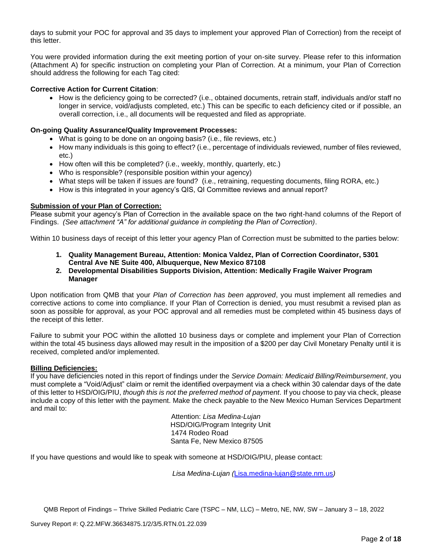days to submit your POC for approval and 35 days to implement your approved Plan of Correction) from the receipt of this letter.

You were provided information during the exit meeting portion of your on-site survey. Please refer to this information (Attachment A) for specific instruction on completing your Plan of Correction. At a minimum, your Plan of Correction should address the following for each Tag cited:

## **Corrective Action for Current Citation**:

• How is the deficiency going to be corrected? (i.e., obtained documents, retrain staff, individuals and/or staff no longer in service, void/adjusts completed, etc.) This can be specific to each deficiency cited or if possible, an overall correction, i.e., all documents will be requested and filed as appropriate.

## **On-going Quality Assurance/Quality Improvement Processes:**

- What is going to be done on an ongoing basis? (i.e., file reviews, etc.)
- How many individuals is this going to effect? (i.e., percentage of individuals reviewed, number of files reviewed, etc.)
- How often will this be completed? (i.e., weekly, monthly, quarterly, etc.)
- Who is responsible? (responsible position within your agency)
- What steps will be taken if issues are found? (i.e., retraining, requesting documents, filing RORA, etc.)
- How is this integrated in your agency's QIS, QI Committee reviews and annual report?

## **Submission of your Plan of Correction:**

Please submit your agency's Plan of Correction in the available space on the two right-hand columns of the Report of Findings. *(See attachment "A" for additional guidance in completing the Plan of Correction)*.

Within 10 business days of receipt of this letter your agency Plan of Correction must be submitted to the parties below:

- **1. Quality Management Bureau, Attention: Monica Valdez, Plan of Correction Coordinator, 5301 Central Ave NE Suite 400, Albuquerque, New Mexico 87108**
- **2. Developmental Disabilities Supports Division, Attention: Medically Fragile Waiver Program Manager**

Upon notification from QMB that your *Plan of Correction has been approved*, you must implement all remedies and corrective actions to come into compliance. If your Plan of Correction is denied, you must resubmit a revised plan as soon as possible for approval, as your POC approval and all remedies must be completed within 45 business days of the receipt of this letter.

Failure to submit your POC within the allotted 10 business days or complete and implement your Plan of Correction within the total 45 business days allowed may result in the imposition of a \$200 per day Civil Monetary Penalty until it is received, completed and/or implemented.

## **Billing Deficiencies:**

If you have deficiencies noted in this report of findings under the *Service Domain: Medicaid Billing/Reimbursement*, you must complete a "Void/Adjust" claim or remit the identified overpayment via a check within 30 calendar days of the date of this letter to HSD/OIG/PIU, *though this is not the preferred method of payment*. If you choose to pay via check, please include a copy of this letter with the payment. Make the check payable to the New Mexico Human Services Department and mail to:

> Attention: *Lisa Medina-Lujan* HSD/OIG/Program Integrity Unit 1474 Rodeo Road Santa Fe, New Mexico 87505

If you have questions and would like to speak with someone at HSD/OIG/PIU, please contact:

*Lisa Medina-Lujan (*[Lisa.medina-lujan@state.nm.us](mailto:Lisa.medina-lujan@state.nm.us)*)*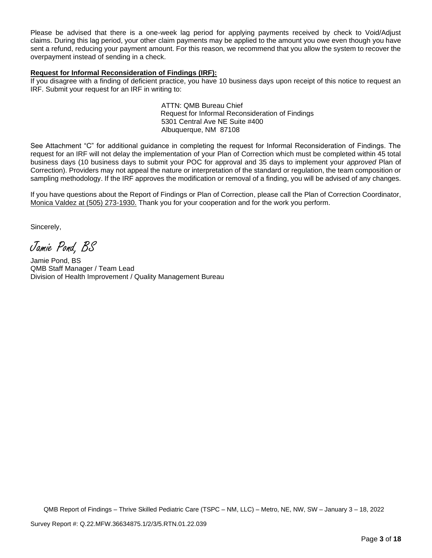Please be advised that there is a one-week lag period for applying payments received by check to Void/Adjust claims. During this lag period, your other claim payments may be applied to the amount you owe even though you have sent a refund, reducing your payment amount. For this reason, we recommend that you allow the system to recover the overpayment instead of sending in a check.

## **Request for Informal Reconsideration of Findings (IRF):**

If you disagree with a finding of deficient practice, you have 10 business days upon receipt of this notice to request an IRF. Submit your request for an IRF in writing to:

> ATTN: QMB Bureau Chief Request for Informal Reconsideration of Findings 5301 Central Ave NE Suite #400 Albuquerque, NM 87108

See Attachment "C" for additional guidance in completing the request for Informal Reconsideration of Findings. The request for an IRF will not delay the implementation of your Plan of Correction which must be completed within 45 total business days (10 business days to submit your POC for approval and 35 days to implement your *approved* Plan of Correction). Providers may not appeal the nature or interpretation of the standard or regulation, the team composition or sampling methodology. If the IRF approves the modification or removal of a finding, you will be advised of any changes.

If you have questions about the Report of Findings or Plan of Correction, please call the Plan of Correction Coordinator, Monica Valdez at (505) 273-1930. Thank you for your cooperation and for the work you perform.

Sincerely,

Jamie Pond, BS

Jamie Pond, BS QMB Staff Manager / Team Lead Division of Health Improvement / Quality Management Bureau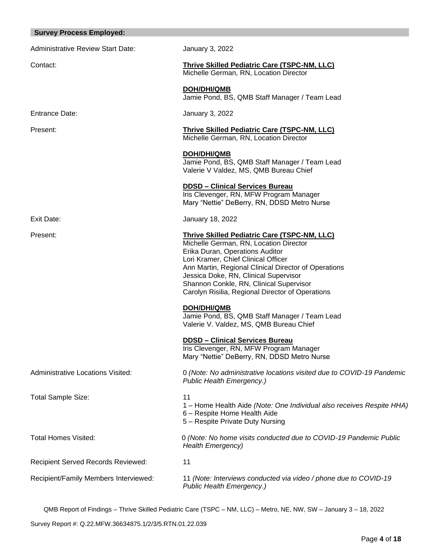| <b>Survey Process Employed:</b>          |                                                                                                                                                                                                                                                                                                                                                                         |
|------------------------------------------|-------------------------------------------------------------------------------------------------------------------------------------------------------------------------------------------------------------------------------------------------------------------------------------------------------------------------------------------------------------------------|
| <b>Administrative Review Start Date:</b> | January 3, 2022                                                                                                                                                                                                                                                                                                                                                         |
| Contact:                                 | <b>Thrive Skilled Pediatric Care (TSPC-NM, LLC)</b><br>Michelle German, RN, Location Director                                                                                                                                                                                                                                                                           |
|                                          | <b>DOH/DHI/QMB</b><br>Jamie Pond, BS, QMB Staff Manager / Team Lead                                                                                                                                                                                                                                                                                                     |
| <b>Entrance Date:</b>                    | January 3, 2022                                                                                                                                                                                                                                                                                                                                                         |
| Present:                                 | Thrive Skilled Pediatric Care (TSPC-NM, LLC)<br>Michelle German, RN, Location Director                                                                                                                                                                                                                                                                                  |
|                                          | DOH/DHI/QMB<br>Jamie Pond, BS, QMB Staff Manager / Team Lead<br>Valerie V Valdez, MS, QMB Bureau Chief                                                                                                                                                                                                                                                                  |
|                                          | <b>DDSD - Clinical Services Bureau</b><br>Iris Clevenger, RN, MFW Program Manager<br>Mary "Nettie" DeBerry, RN, DDSD Metro Nurse                                                                                                                                                                                                                                        |
| Exit Date:                               | January 18, 2022                                                                                                                                                                                                                                                                                                                                                        |
| Present:                                 | <b>Thrive Skilled Pediatric Care (TSPC-NM, LLC)</b><br>Michelle German, RN, Location Director<br>Erika Duran, Operations Auditor<br>Lori Kramer, Chief Clinical Officer<br>Ann Martin, Regional Clinical Director of Operations<br>Jessica Doke, RN, Clinical Supervisor<br>Shannon Conkle, RN, Clinical Supervisor<br>Carolyn Risilia, Regional Director of Operations |
|                                          | <b>DOH/DHI/QMB</b><br>Jamie Pond, BS, QMB Staff Manager / Team Lead<br>Valerie V. Valdez, MS, QMB Bureau Chief                                                                                                                                                                                                                                                          |
|                                          | <b>DDSD - Clinical Services Bureau</b><br>Iris Clevenger, RN, MFW Program Manager<br>Mary "Nettie" DeBerry, RN, DDSD Metro Nurse                                                                                                                                                                                                                                        |
| <b>Administrative Locations Visited:</b> | 0 (Note: No administrative locations visited due to COVID-19 Pandemic<br>Public Health Emergency.)                                                                                                                                                                                                                                                                      |
| Total Sample Size:                       | 11<br>1 – Home Health Aide (Note: One Individual also receives Respite HHA)<br>6 - Respite Home Health Aide<br>5 - Respite Private Duty Nursing                                                                                                                                                                                                                         |
| <b>Total Homes Visited:</b>              | 0 (Note: No home visits conducted due to COVID-19 Pandemic Public<br><b>Health Emergency)</b>                                                                                                                                                                                                                                                                           |
| Recipient Served Records Reviewed:       | 11                                                                                                                                                                                                                                                                                                                                                                      |
| Recipient/Family Members Interviewed:    | 11 (Note: Interviews conducted via video / phone due to COVID-19<br>Public Health Emergency.)                                                                                                                                                                                                                                                                           |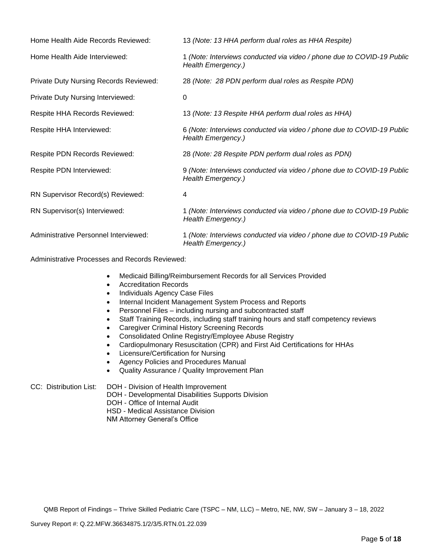| Home Health Aide Records Reviewed:            | 13 (Note: 13 HHA perform dual roles as HHA Respite)                                          |
|-----------------------------------------------|----------------------------------------------------------------------------------------------|
| Home Health Aide Interviewed:                 | 1 (Note: Interviews conducted via video / phone due to COVID-19 Public<br>Health Emergency.) |
| <b>Private Duty Nursing Records Reviewed:</b> | 28 (Note: 28 PDN perform dual roles as Respite PDN)                                          |
| Private Duty Nursing Interviewed:             | 0                                                                                            |
| Respite HHA Records Reviewed:                 | 13 (Note: 13 Respite HHA perform dual roles as HHA)                                          |
| Respite HHA Interviewed:                      | 6 (Note: Interviews conducted via video / phone due to COVID-19 Public<br>Health Emergency.) |
| <b>Respite PDN Records Reviewed:</b>          | 28 (Note: 28 Respite PDN perform dual roles as PDN)                                          |
| Respite PDN Interviewed:                      | 9 (Note: Interviews conducted via video / phone due to COVID-19 Public<br>Health Emergency.) |
| RN Supervisor Record(s) Reviewed:             | 4                                                                                            |
| RN Supervisor(s) Interviewed:                 | 1 (Note: Interviews conducted via video / phone due to COVID-19 Public<br>Health Emergency.) |
| Administrative Personnel Interviewed:         | 1 (Note: Interviews conducted via video / phone due to COVID-19 Public<br>Health Emergency.) |

Administrative Processes and Records Reviewed:

- Medicaid Billing/Reimbursement Records for all Services Provided
- Accreditation Records
- Individuals Agency Case Files
- Internal Incident Management System Process and Reports
- Personnel Files including nursing and subcontracted staff
- Staff Training Records, including staff training hours and staff competency reviews
- Caregiver Criminal History Screening Records
- Consolidated Online Registry/Employee Abuse Registry
- Cardiopulmonary Resuscitation (CPR) and First Aid Certifications for HHAs
- Licensure/Certification for Nursing
- Agency Policies and Procedures Manual
- Quality Assurance / Quality Improvement Plan

#### CC: Distribution List: DOH - Division of Health Improvement DOH - Developmental Disabilities Supports Division DOH - Office of Internal Audit

HSD - Medical Assistance Division

NM Attorney General's Office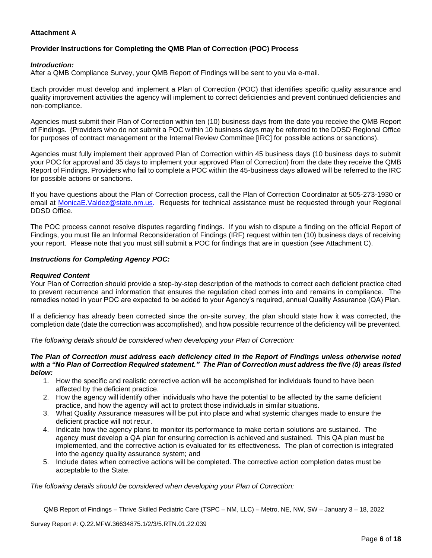## **Attachment A**

# **Provider Instructions for Completing the QMB Plan of Correction (POC) Process**

## *Introduction:*

After a QMB Compliance Survey, your QMB Report of Findings will be sent to you via e-mail.

Each provider must develop and implement a Plan of Correction (POC) that identifies specific quality assurance and quality improvement activities the agency will implement to correct deficiencies and prevent continued deficiencies and non-compliance.

Agencies must submit their Plan of Correction within ten (10) business days from the date you receive the QMB Report of Findings. (Providers who do not submit a POC within 10 business days may be referred to the DDSD Regional Office for purposes of contract management or the Internal Review Committee [IRC] for possible actions or sanctions).

Agencies must fully implement their approved Plan of Correction within 45 business days (10 business days to submit your POC for approval and 35 days to implement your approved Plan of Correction) from the date they receive the QMB Report of Findings. Providers who fail to complete a POC within the 45-business days allowed will be referred to the IRC for possible actions or sanctions.

If you have questions about the Plan of Correction process, call the Plan of Correction Coordinator at 505-273-1930 or email at [MonicaE.Valdez@state.nm.us.](mailto:MonicaE.Valdez@state.nm.us) Requests for technical assistance must be requested through your Regional DDSD Office.

The POC process cannot resolve disputes regarding findings. If you wish to dispute a finding on the official Report of Findings, you must file an Informal Reconsideration of Findings (IRF) request within ten (10) business days of receiving your report. Please note that you must still submit a POC for findings that are in question (see Attachment C).

## *Instructions for Completing Agency POC:*

## *Required Content*

Your Plan of Correction should provide a step-by-step description of the methods to correct each deficient practice cited to prevent recurrence and information that ensures the regulation cited comes into and remains in compliance. The remedies noted in your POC are expected to be added to your Agency's required, annual Quality Assurance (QA) Plan.

If a deficiency has already been corrected since the on-site survey, the plan should state how it was corrected, the completion date (date the correction was accomplished), and how possible recurrence of the deficiency will be prevented.

*The following details should be considered when developing your Plan of Correction:*

#### *The Plan of Correction must address each deficiency cited in the Report of Findings unless otherwise noted with a "No Plan of Correction Required statement." The Plan of Correction must address the five (5) areas listed below:*

- 1. How the specific and realistic corrective action will be accomplished for individuals found to have been affected by the deficient practice.
- 2. How the agency will identify other individuals who have the potential to be affected by the same deficient practice, and how the agency will act to protect those individuals in similar situations.
- 3. What Quality Assurance measures will be put into place and what systemic changes made to ensure the deficient practice will not recur.
- 4. Indicate how the agency plans to monitor its performance to make certain solutions are sustained. The agency must develop a QA plan for ensuring correction is achieved and sustained. This QA plan must be implemented, and the corrective action is evaluated for its effectiveness. The plan of correction is integrated into the agency quality assurance system; and
- 5. Include dates when corrective actions will be completed. The corrective action completion dates must be acceptable to the State.

*The following details should be considered when developing your Plan of Correction:*

QMB Report of Findings – Thrive Skilled Pediatric Care (TSPC – NM, LLC) – Metro, NE, NW, SW – January 3 – 18, 2022

Survey Report #: Q.22.MFW.36634875.1/2/3/5.RTN.01.22.039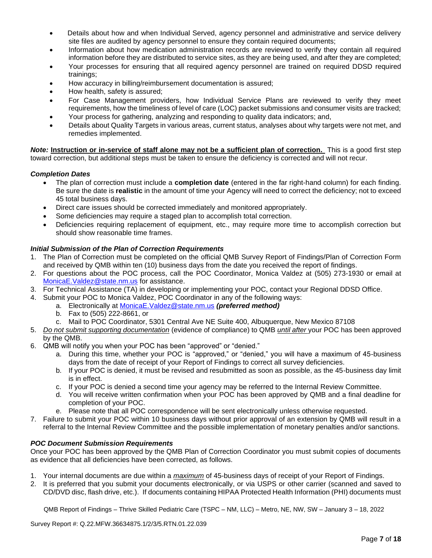- Details about how and when Individual Served, agency personnel and administrative and service delivery site files are audited by agency personnel to ensure they contain required documents;
- Information about how medication administration records are reviewed to verify they contain all required information before they are distributed to service sites, as they are being used, and after they are completed;
- Your processes for ensuring that all required agency personnel are trained on required DDSD required trainings;
- How accuracy in billing/reimbursement documentation is assured;
- How health, safety is assured;
- For Case Management providers, how Individual Service Plans are reviewed to verify they meet requirements, how the timeliness of level of care (LOC) packet submissions and consumer visits are tracked;
- Your process for gathering, analyzing and responding to quality data indicators; and,
- Details about Quality Targets in various areas, current status, analyses about why targets were not met, and remedies implemented.

*Note:* **Instruction or in-service of staff alone may not be a sufficient plan of correction.** This is a good first step toward correction, but additional steps must be taken to ensure the deficiency is corrected and will not recur.

## *Completion Dates*

- The plan of correction must include a **completion date** (entered in the far right-hand column) for each finding. Be sure the date is **realistic** in the amount of time your Agency will need to correct the deficiency; not to exceed 45 total business days.
- Direct care issues should be corrected immediately and monitored appropriately.
- Some deficiencies may require a staged plan to accomplish total correction.
- Deficiencies requiring replacement of equipment, etc., may require more time to accomplish correction but should show reasonable time frames.

## *Initial Submission of the Plan of Correction Requirements*

- 1. The Plan of Correction must be completed on the official QMB Survey Report of Findings/Plan of Correction Form and received by QMB within ten (10) business days from the date you received the report of findings.
- 2. For questions about the POC process, call the POC Coordinator, Monica Valdez at (505) 273-1930 or email at [MonicaE.Valdez@state.nm.us](mailto:MonicaE.Valdez@state.nm.us) for assistance.
- 3. For Technical Assistance (TA) in developing or implementing your POC, contact your Regional DDSD Office.
- 4. Submit your POC to Monica Valdez, POC Coordinator in any of the following ways:
	- a. Electronically at [MonicaE.Valdez@state.nm.us](mailto:MonicaE.Valdez@state.nm.us) *(preferred method)*
	- b. Fax to (505) 222-8661, or
	- c. Mail to POC Coordinator, 5301 Central Ave NE Suite 400, Albuquerque, New Mexico 87108
- 5. *Do not submit supporting documentation* (evidence of compliance) to QMB *until after* your POC has been approved by the QMB.
- 6. QMB will notify you when your POC has been "approved" or "denied."
	- a. During this time, whether your POC is "approved," or "denied," you will have a maximum of 45-business days from the date of receipt of your Report of Findings to correct all survey deficiencies.
	- b. If your POC is denied, it must be revised and resubmitted as soon as possible, as the 45-business day limit is in effect.
	- c. If your POC is denied a second time your agency may be referred to the Internal Review Committee.
	- d. You will receive written confirmation when your POC has been approved by QMB and a final deadline for completion of your POC.
	- e. Please note that all POC correspondence will be sent electronically unless otherwise requested.
- 7. Failure to submit your POC within 10 business days without prior approval of an extension by QMB will result in a referral to the Internal Review Committee and the possible implementation of monetary penalties and/or sanctions.

## *POC Document Submission Requirements*

Once your POC has been approved by the QMB Plan of Correction Coordinator you must submit copies of documents as evidence that all deficiencies have been corrected, as follows.

- 1. Your internal documents are due within a *maximum* of 45-business days of receipt of your Report of Findings.
- 2. It is preferred that you submit your documents electronically, or via USPS or other carrier (scanned and saved to CD/DVD disc, flash drive, etc.). If documents containing HIPAA Protected Health Information (PHI) documents must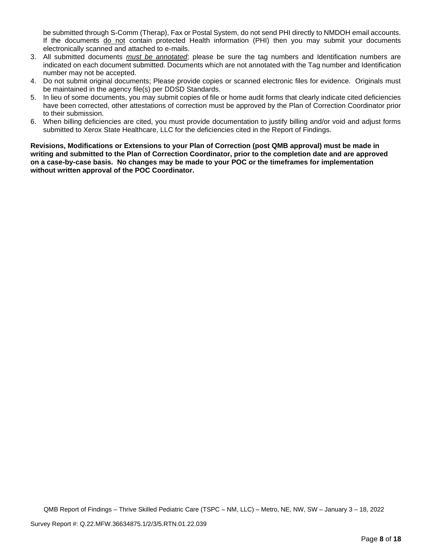be submitted through S-Comm (Therap), Fax or Postal System, do not send PHI directly to NMDOH email accounts. If the documents do not contain protected Health information (PHI) then you may submit your documents electronically scanned and attached to e-mails.

- 3. All submitted documents *must be annotated*; please be sure the tag numbers and Identification numbers are indicated on each document submitted. Documents which are not annotated with the Tag number and Identification number may not be accepted.
- 4. Do not submit original documents; Please provide copies or scanned electronic files for evidence. Originals must be maintained in the agency file(s) per DDSD Standards.
- 5. In lieu of some documents, you may submit copies of file or home audit forms that clearly indicate cited deficiencies have been corrected, other attestations of correction must be approved by the Plan of Correction Coordinator prior to their submission.
- 6. When billing deficiencies are cited, you must provide documentation to justify billing and/or void and adjust forms submitted to Xerox State Healthcare, LLC for the deficiencies cited in the Report of Findings.

**Revisions, Modifications or Extensions to your Plan of Correction (post QMB approval) must be made in writing and submitted to the Plan of Correction Coordinator, prior to the completion date and are approved on a case-by-case basis. No changes may be made to your POC or the timeframes for implementation without written approval of the POC Coordinator.**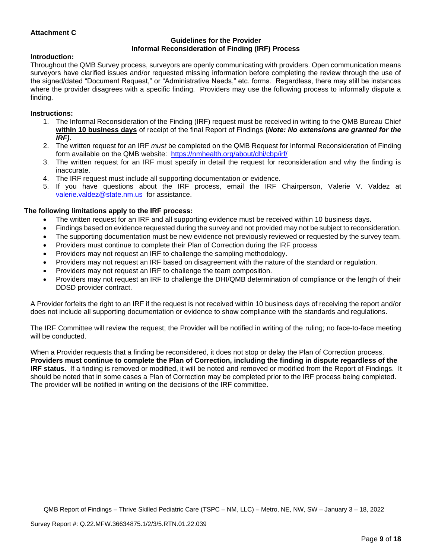## **Attachment C**

## **Guidelines for the Provider Informal Reconsideration of Finding (IRF) Process**

# **Introduction:**

Throughout the QMB Survey process, surveyors are openly communicating with providers. Open communication means surveyors have clarified issues and/or requested missing information before completing the review through the use of the signed/dated "Document Request," or "Administrative Needs," etc. forms. Regardless, there may still be instances where the provider disagrees with a specific finding. Providers may use the following process to informally dispute a finding.

## **Instructions:**

- 1. The Informal Reconsideration of the Finding (IRF) request must be received in writing to the QMB Bureau Chief **within 10 business days** of receipt of the final Report of Findings **(***Note: No extensions are granted for the IRF)***.**
- 2. The written request for an IRF *must* be completed on the QMB Request for Informal Reconsideration of Finding form available on the QMB website: <https://nmhealth.org/about/dhi/cbp/irf/>
- 3. The written request for an IRF must specify in detail the request for reconsideration and why the finding is inaccurate.
- 4. The IRF request must include all supporting documentation or evidence.
- 5. If you have questions about the IRF process, email the IRF Chairperson, Valerie V. Valdez at [valerie.valdez@state.nm.us](mailto:valerie.valdez@state.nm.us) for assistance.

## **The following limitations apply to the IRF process:**

- The written request for an IRF and all supporting evidence must be received within 10 business days.
- Findings based on evidence requested during the survey and not provided may not be subject to reconsideration.
- The supporting documentation must be new evidence not previously reviewed or requested by the survey team.
- Providers must continue to complete their Plan of Correction during the IRF process
- Providers may not request an IRF to challenge the sampling methodology.
- Providers may not request an IRF based on disagreement with the nature of the standard or regulation.
- Providers may not request an IRF to challenge the team composition.
- Providers may not request an IRF to challenge the DHI/QMB determination of compliance or the length of their DDSD provider contract.

A Provider forfeits the right to an IRF if the request is not received within 10 business days of receiving the report and/or does not include all supporting documentation or evidence to show compliance with the standards and regulations.

The IRF Committee will review the request; the Provider will be notified in writing of the ruling; no face-to-face meeting will be conducted.

When a Provider requests that a finding be reconsidered, it does not stop or delay the Plan of Correction process. **Providers must continue to complete the Plan of Correction, including the finding in dispute regardless of the IRF status.** If a finding is removed or modified, it will be noted and removed or modified from the Report of Findings. It should be noted that in some cases a Plan of Correction may be completed prior to the IRF process being completed. The provider will be notified in writing on the decisions of the IRF committee.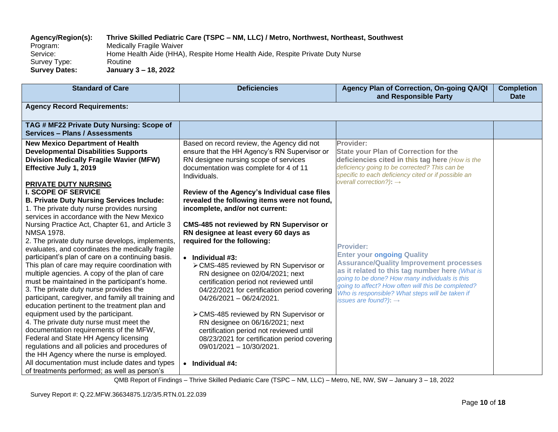# **Agency/Region(s): Thrive Skilled Pediatric Care (TSPC – NM, LLC) / Metro, Northwest, Northeast, Southwest**

Program: Medically Fragile Waiver<br>Service: Home Health Aide (HHA) Home Health Aide (HHA), Respite Home Health Aide, Respite Private Duty Nurse Survey Type: Routine<br>
Survey Dates: January **Survey Dates: January 3 – 18, 2022**

| <b>Standard of Care</b>                                                                                                                                                                                                                                                                                                                                                                                                                                                                                                                                                                                                                                                                                                                                                                                                                                                                                                                                                                                                                      | <b>Deficiencies</b>                                                                                                                                                                                                                                                                                                                                                                                                                                                                                                                                                                                                                                                                                                                                                                                                    | Agency Plan of Correction, On-going QA/QI<br>and Responsible Party                                                                                                                                                                                                                                                                                                                                                                                                                                                                                                                                                       | <b>Completion</b><br><b>Date</b> |
|----------------------------------------------------------------------------------------------------------------------------------------------------------------------------------------------------------------------------------------------------------------------------------------------------------------------------------------------------------------------------------------------------------------------------------------------------------------------------------------------------------------------------------------------------------------------------------------------------------------------------------------------------------------------------------------------------------------------------------------------------------------------------------------------------------------------------------------------------------------------------------------------------------------------------------------------------------------------------------------------------------------------------------------------|------------------------------------------------------------------------------------------------------------------------------------------------------------------------------------------------------------------------------------------------------------------------------------------------------------------------------------------------------------------------------------------------------------------------------------------------------------------------------------------------------------------------------------------------------------------------------------------------------------------------------------------------------------------------------------------------------------------------------------------------------------------------------------------------------------------------|--------------------------------------------------------------------------------------------------------------------------------------------------------------------------------------------------------------------------------------------------------------------------------------------------------------------------------------------------------------------------------------------------------------------------------------------------------------------------------------------------------------------------------------------------------------------------------------------------------------------------|----------------------------------|
| <b>Agency Record Requirements:</b>                                                                                                                                                                                                                                                                                                                                                                                                                                                                                                                                                                                                                                                                                                                                                                                                                                                                                                                                                                                                           |                                                                                                                                                                                                                                                                                                                                                                                                                                                                                                                                                                                                                                                                                                                                                                                                                        |                                                                                                                                                                                                                                                                                                                                                                                                                                                                                                                                                                                                                          |                                  |
| TAG # MF22 Private Duty Nursing: Scope of<br><b>Services - Plans / Assessments</b>                                                                                                                                                                                                                                                                                                                                                                                                                                                                                                                                                                                                                                                                                                                                                                                                                                                                                                                                                           |                                                                                                                                                                                                                                                                                                                                                                                                                                                                                                                                                                                                                                                                                                                                                                                                                        |                                                                                                                                                                                                                                                                                                                                                                                                                                                                                                                                                                                                                          |                                  |
| <b>New Mexico Department of Health</b><br><b>Developmental Disabilities Supports</b><br><b>Division Medically Fragile Wavier (MFW)</b><br>Effective July 1, 2019<br>PRIVATE DUTY NURSING<br><b>I. SCOPE OF SERVICE</b><br><b>B. Private Duty Nursing Services Include:</b><br>1. The private duty nurse provides nursing<br>services in accordance with the New Mexico<br>Nursing Practice Act, Chapter 61, and Article 3<br><b>NMSA 1978.</b><br>2. The private duty nurse develops, implements,<br>evaluates, and coordinates the medically fragile<br>participant's plan of care on a continuing basis.<br>This plan of care may require coordination with<br>multiple agencies. A copy of the plan of care<br>must be maintained in the participant's home.<br>3. The private duty nurse provides the<br>participant, caregiver, and family all training and<br>education pertinent to the treatment plan and<br>equipment used by the participant.<br>4. The private duty nurse must meet the<br>documentation requirements of the MFW, | Based on record review, the Agency did not<br>ensure that the HH Agency's RN Supervisor or<br>RN designee nursing scope of services<br>documentation was complete for 4 of 11<br>Individuals.<br>Review of the Agency's Individual case files<br>revealed the following items were not found,<br>incomplete, and/or not current:<br><b>CMS-485 not reviewed by RN Supervisor or</b><br>RN designee at least every 60 days as<br>required for the following:<br>$\bullet$ Individual #3:<br>> CMS-485 reviewed by RN Supervisor or<br>RN designee on 02/04/2021; next<br>certification period not reviewed until<br>04/22/2021 for certification period covering<br>$04/26/2021 - 06/24/2021$ .<br>> CMS-485 reviewed by RN Supervisor or<br>RN designee on 06/16/2021; next<br>certification period not reviewed until | Provider:<br><b>State your Plan of Correction for the</b><br>deficiencies cited in this tag here (How is the<br>deficiency going to be corrected? This can be<br>specific to each deficiency cited or if possible an<br>overall correction?): $\rightarrow$<br><b>Provider:</b><br><b>Enter your ongoing Quality</b><br><b>Assurance/Quality Improvement processes</b><br>as it related to this tag number here (What is<br>going to be done? How many individuals is this<br>going to affect? How often will this be completed?<br>Who is responsible? What steps will be taken if<br>issues are found?): $\rightarrow$ |                                  |
| Federal and State HH Agency licensing<br>regulations and all policies and procedures of<br>the HH Agency where the nurse is employed.<br>All documentation must include dates and types<br>of treatments performed; as well as person's                                                                                                                                                                                                                                                                                                                                                                                                                                                                                                                                                                                                                                                                                                                                                                                                      | 08/23/2021 for certification period covering<br>09/01/2021 - 10/30/2021.<br>Individual #4:<br>$\bullet$                                                                                                                                                                                                                                                                                                                                                                                                                                                                                                                                                                                                                                                                                                                |                                                                                                                                                                                                                                                                                                                                                                                                                                                                                                                                                                                                                          |                                  |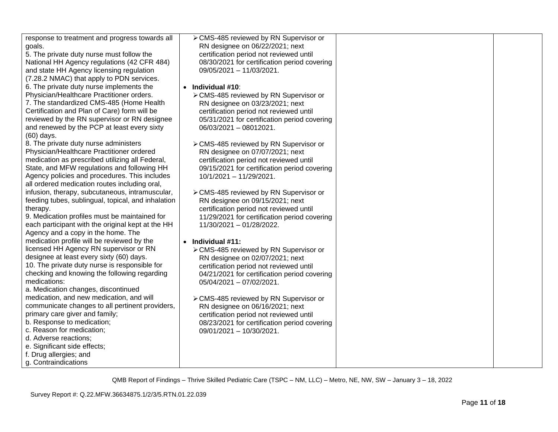| response to treatment and progress towards all     | > CMS-485 reviewed by RN Supervisor or       |  |
|----------------------------------------------------|----------------------------------------------|--|
| goals.                                             | RN designee on 06/22/2021; next              |  |
| 5. The private duty nurse must follow the          | certification period not reviewed until      |  |
| National HH Agency regulations (42 CFR 484)        | 08/30/2021 for certification period covering |  |
| and state HH Agency licensing regulation           | 09/05/2021 - 11/03/2021.                     |  |
| (7.28.2 NMAC) that apply to PDN services.          |                                              |  |
| 6. The private duty nurse implements the           | • Individual #10:                            |  |
| Physician/Healthcare Practitioner orders.          | > CMS-485 reviewed by RN Supervisor or       |  |
| 7. The standardized CMS-485 (Home Health           | RN designee on 03/23/2021; next              |  |
| Certification and Plan of Care) form will be       | certification period not reviewed until      |  |
| reviewed by the RN supervisor or RN designee       | 05/31/2021 for certification period covering |  |
| and renewed by the PCP at least every sixty        | 06/03/2021 - 08012021.                       |  |
| (60) days.                                         |                                              |  |
| 8. The private duty nurse administers              | > CMS-485 reviewed by RN Supervisor or       |  |
| Physician/Healthcare Practitioner ordered          | RN designee on 07/07/2021; next              |  |
| medication as prescribed utilizing all Federal,    | certification period not reviewed until      |  |
| State, and MFW regulations and following HH        |                                              |  |
| Agency policies and procedures. This includes      | 09/15/2021 for certification period covering |  |
| all ordered medication routes including oral,      | 10/1/2021 - 11/29/2021.                      |  |
| infusion, therapy, subcutaneous, intramuscular,    |                                              |  |
| feeding tubes, sublingual, topical, and inhalation | > CMS-485 reviewed by RN Supervisor or       |  |
|                                                    | RN designee on 09/15/2021; next              |  |
| therapy.                                           | certification period not reviewed until      |  |
| 9. Medication profiles must be maintained for      | 11/29/2021 for certification period covering |  |
| each participant with the original kept at the HH  | 11/30/2021 - 01/28/2022.                     |  |
| Agency and a copy in the home. The                 |                                              |  |
| medication profile will be reviewed by the         | $\bullet$ Individual #11:                    |  |
| licensed HH Agency RN supervisor or RN             | > CMS-485 reviewed by RN Supervisor or       |  |
| designee at least every sixty (60) days.           | RN designee on 02/07/2021; next              |  |
| 10. The private duty nurse is responsible for      | certification period not reviewed until      |  |
| checking and knowing the following regarding       | 04/21/2021 for certification period covering |  |
| medications:                                       | 05/04/2021 - 07/02/2021.                     |  |
| a. Medication changes, discontinued                |                                              |  |
| medication, and new medication, and will           | > CMS-485 reviewed by RN Supervisor or       |  |
| communicate changes to all pertinent providers,    | RN designee on 06/16/2021; next              |  |
| primary care giver and family;                     | certification period not reviewed until      |  |
| b. Response to medication;                         | 08/23/2021 for certification period covering |  |
| c. Reason for medication;                          | 09/01/2021 - 10/30/2021.                     |  |
| d. Adverse reactions;                              |                                              |  |
| e. Significant side effects;                       |                                              |  |
| f. Drug allergies; and                             |                                              |  |
| g. Contraindications                               |                                              |  |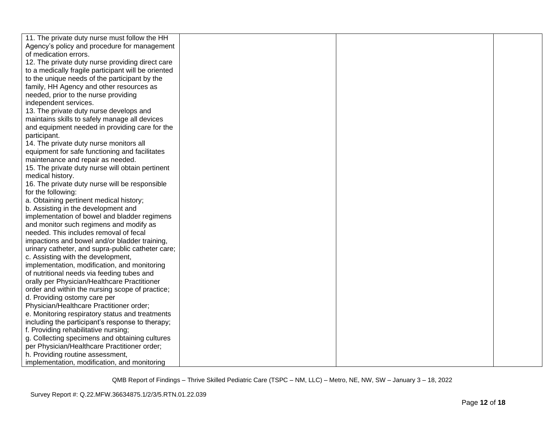| 11. The private duty nurse must follow the HH       |  |  |
|-----------------------------------------------------|--|--|
| Agency's policy and procedure for management        |  |  |
| of medication errors.                               |  |  |
| 12. The private duty nurse providing direct care    |  |  |
| to a medically fragile participant will be oriented |  |  |
| to the unique needs of the participant by the       |  |  |
| family, HH Agency and other resources as            |  |  |
| needed, prior to the nurse providing                |  |  |
| independent services.                               |  |  |
| 13. The private duty nurse develops and             |  |  |
| maintains skills to safely manage all devices       |  |  |
| and equipment needed in providing care for the      |  |  |
| participant.                                        |  |  |
| 14. The private duty nurse monitors all             |  |  |
| equipment for safe functioning and facilitates      |  |  |
| maintenance and repair as needed.                   |  |  |
| 15. The private duty nurse will obtain pertinent    |  |  |
| medical history.                                    |  |  |
| 16. The private duty nurse will be responsible      |  |  |
| for the following:                                  |  |  |
| a. Obtaining pertinent medical history;             |  |  |
| b. Assisting in the development and                 |  |  |
| implementation of bowel and bladder regimens        |  |  |
| and monitor such regimens and modify as             |  |  |
| needed. This includes removal of fecal              |  |  |
| impactions and bowel and/or bladder training,       |  |  |
| urinary catheter, and supra-public catheter care;   |  |  |
| c. Assisting with the development,                  |  |  |
| implementation, modification, and monitoring        |  |  |
| of nutritional needs via feeding tubes and          |  |  |
| orally per Physician/Healthcare Practitioner        |  |  |
| order and within the nursing scope of practice;     |  |  |
| d. Providing ostomy care per                        |  |  |
| Physician/Healthcare Practitioner order;            |  |  |
| e. Monitoring respiratory status and treatments     |  |  |
| including the participant's response to therapy;    |  |  |
| f. Providing rehabilitative nursing;                |  |  |
| g. Collecting specimens and obtaining cultures      |  |  |
| per Physician/Healthcare Practitioner order;        |  |  |
| h. Providing routine assessment,                    |  |  |
| implementation, modification, and monitoring        |  |  |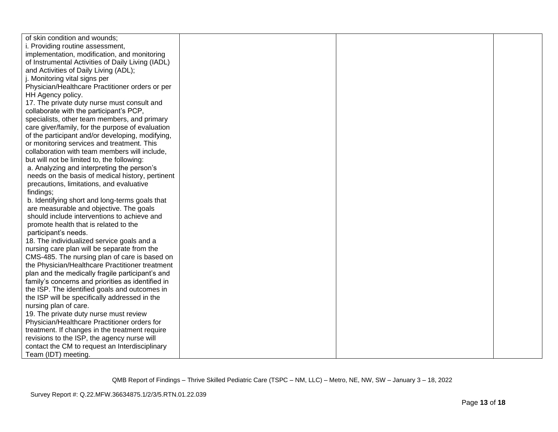| of skin condition and wounds;                     |  |  |
|---------------------------------------------------|--|--|
| i. Providing routine assessment,                  |  |  |
| implementation, modification, and monitoring      |  |  |
| of Instrumental Activities of Daily Living (IADL) |  |  |
| and Activities of Daily Living (ADL);             |  |  |
| j. Monitoring vital signs per                     |  |  |
| Physician/Healthcare Practitioner orders or per   |  |  |
| HH Agency policy.                                 |  |  |
| 17. The private duty nurse must consult and       |  |  |
| collaborate with the participant's PCP,           |  |  |
| specialists, other team members, and primary      |  |  |
| care giver/family, for the purpose of evaluation  |  |  |
| of the participant and/or developing, modifying,  |  |  |
| or monitoring services and treatment. This        |  |  |
| collaboration with team members will include,     |  |  |
| but will not be limited to, the following:        |  |  |
| a. Analyzing and interpreting the person's        |  |  |
| needs on the basis of medical history, pertinent  |  |  |
| precautions, limitations, and evaluative          |  |  |
| findings;                                         |  |  |
| b. Identifying short and long-terms goals that    |  |  |
| are measurable and objective. The goals           |  |  |
| should include interventions to achieve and       |  |  |
| promote health that is related to the             |  |  |
| participant's needs.                              |  |  |
| 18. The individualized service goals and a        |  |  |
| nursing care plan will be separate from the       |  |  |
| CMS-485. The nursing plan of care is based on     |  |  |
| the Physician/Healthcare Practitioner treatment   |  |  |
| plan and the medically fragile participant's and  |  |  |
| family's concerns and priorities as identified in |  |  |
| the ISP. The identified goals and outcomes in     |  |  |
| the ISP will be specifically addressed in the     |  |  |
| nursing plan of care.                             |  |  |
| 19. The private duty nurse must review            |  |  |
| Physician/Healthcare Practitioner orders for      |  |  |
| treatment. If changes in the treatment require    |  |  |
| revisions to the ISP, the agency nurse will       |  |  |
| contact the CM to request an Interdisciplinary    |  |  |
| Team (IDT) meeting.                               |  |  |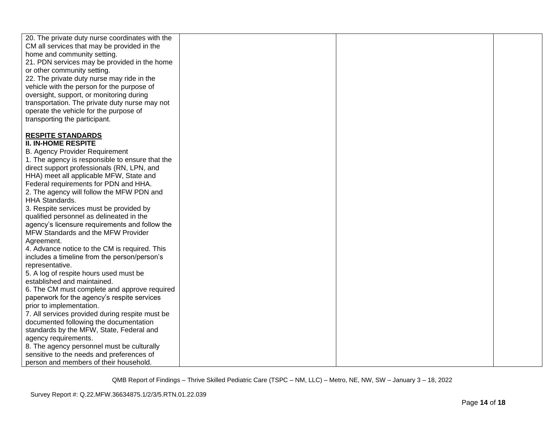| 20. The private duty nurse coordinates with the |  |  |
|-------------------------------------------------|--|--|
| CM all services that may be provided in the     |  |  |
| home and community setting.                     |  |  |
| 21. PDN services may be provided in the home    |  |  |
| or other community setting.                     |  |  |
| 22. The private duty nurse may ride in the      |  |  |
| vehicle with the person for the purpose of      |  |  |
| oversight, support, or monitoring during        |  |  |
| transportation. The private duty nurse may not  |  |  |
| operate the vehicle for the purpose of          |  |  |
| transporting the participant.                   |  |  |
|                                                 |  |  |
| <b>RESPITE STANDARDS</b>                        |  |  |
| <b>II. IN-HOME RESPITE</b>                      |  |  |
| <b>B. Agency Provider Requirement</b>           |  |  |
| 1. The agency is responsible to ensure that the |  |  |
| direct support professionals (RN, LPN, and      |  |  |
| HHA) meet all applicable MFW, State and         |  |  |
|                                                 |  |  |
| Federal requirements for PDN and HHA.           |  |  |
| 2. The agency will follow the MFW PDN and       |  |  |
| <b>HHA Standards.</b>                           |  |  |
| 3. Respite services must be provided by         |  |  |
| qualified personnel as delineated in the        |  |  |
| agency's licensure requirements and follow the  |  |  |
| MFW Standards and the MFW Provider              |  |  |
| Agreement.                                      |  |  |
| 4. Advance notice to the CM is required. This   |  |  |
| includes a timeline from the person/person's    |  |  |
| representative.                                 |  |  |
| 5. A log of respite hours used must be          |  |  |
| established and maintained.                     |  |  |
| 6. The CM must complete and approve required    |  |  |
| paperwork for the agency's respite services     |  |  |
| prior to implementation.                        |  |  |
| 7. All services provided during respite must be |  |  |
| documented following the documentation          |  |  |
| standards by the MFW, State, Federal and        |  |  |
| agency requirements.                            |  |  |
| 8. The agency personnel must be culturally      |  |  |
| sensitive to the needs and preferences of       |  |  |
| person and members of their household.          |  |  |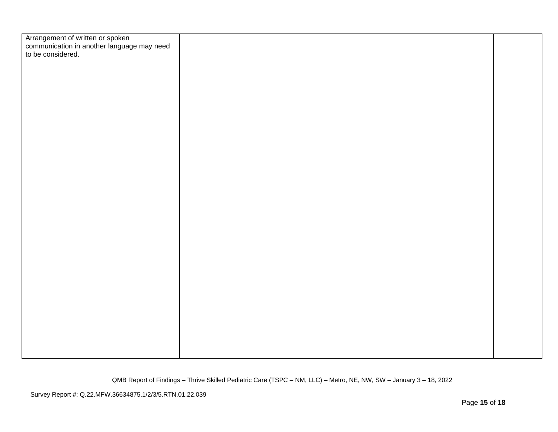| Arrangement of written or spoken<br>communication in another language may need<br>to be considered. |  |  |
|-----------------------------------------------------------------------------------------------------|--|--|
|                                                                                                     |  |  |
|                                                                                                     |  |  |
|                                                                                                     |  |  |
|                                                                                                     |  |  |
|                                                                                                     |  |  |
|                                                                                                     |  |  |
|                                                                                                     |  |  |
|                                                                                                     |  |  |
|                                                                                                     |  |  |
|                                                                                                     |  |  |
|                                                                                                     |  |  |
|                                                                                                     |  |  |
|                                                                                                     |  |  |
|                                                                                                     |  |  |
|                                                                                                     |  |  |
|                                                                                                     |  |  |
|                                                                                                     |  |  |
|                                                                                                     |  |  |
|                                                                                                     |  |  |
|                                                                                                     |  |  |
|                                                                                                     |  |  |
|                                                                                                     |  |  |
|                                                                                                     |  |  |
|                                                                                                     |  |  |
|                                                                                                     |  |  |
|                                                                                                     |  |  |
|                                                                                                     |  |  |
|                                                                                                     |  |  |
|                                                                                                     |  |  |
|                                                                                                     |  |  |
|                                                                                                     |  |  |
|                                                                                                     |  |  |
|                                                                                                     |  |  |
|                                                                                                     |  |  |
|                                                                                                     |  |  |
|                                                                                                     |  |  |
|                                                                                                     |  |  |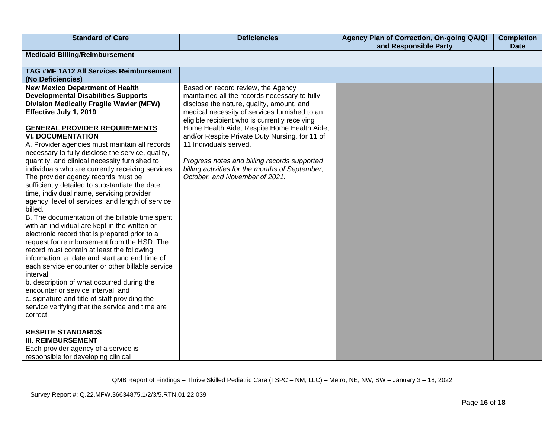| <b>Standard of Care</b>                                                                                                                                                                                                                                                                                                                                                                                                                                                                                                                                                                                                                                                                                                                                                                                                                                                                                                                                                                                                                                                                                                                                                                                                                                                                                                                                                  | <b>Deficiencies</b>                                                                                                                                                                                                                                                                                                                                                                                                                                                                                | Agency Plan of Correction, On-going QA/QI<br>and Responsible Party | <b>Completion</b><br><b>Date</b> |  |
|--------------------------------------------------------------------------------------------------------------------------------------------------------------------------------------------------------------------------------------------------------------------------------------------------------------------------------------------------------------------------------------------------------------------------------------------------------------------------------------------------------------------------------------------------------------------------------------------------------------------------------------------------------------------------------------------------------------------------------------------------------------------------------------------------------------------------------------------------------------------------------------------------------------------------------------------------------------------------------------------------------------------------------------------------------------------------------------------------------------------------------------------------------------------------------------------------------------------------------------------------------------------------------------------------------------------------------------------------------------------------|----------------------------------------------------------------------------------------------------------------------------------------------------------------------------------------------------------------------------------------------------------------------------------------------------------------------------------------------------------------------------------------------------------------------------------------------------------------------------------------------------|--------------------------------------------------------------------|----------------------------------|--|
| <b>Medicaid Billing/Reimbursement</b>                                                                                                                                                                                                                                                                                                                                                                                                                                                                                                                                                                                                                                                                                                                                                                                                                                                                                                                                                                                                                                                                                                                                                                                                                                                                                                                                    |                                                                                                                                                                                                                                                                                                                                                                                                                                                                                                    |                                                                    |                                  |  |
| TAG #MF 1A12 All Services Reimbursement<br>(No Deficiencies)                                                                                                                                                                                                                                                                                                                                                                                                                                                                                                                                                                                                                                                                                                                                                                                                                                                                                                                                                                                                                                                                                                                                                                                                                                                                                                             |                                                                                                                                                                                                                                                                                                                                                                                                                                                                                                    |                                                                    |                                  |  |
| <b>New Mexico Department of Health</b><br><b>Developmental Disabilities Supports</b><br><b>Division Medically Fragile Wavier (MFW)</b><br>Effective July 1, 2019<br><b>GENERAL PROVIDER REQUIREMENTS</b><br><b>VI. DOCUMENTATION</b><br>A. Provider agencies must maintain all records<br>necessary to fully disclose the service, quality,<br>quantity, and clinical necessity furnished to<br>individuals who are currently receiving services.<br>The provider agency records must be<br>sufficiently detailed to substantiate the date,<br>time, individual name, servicing provider<br>agency, level of services, and length of service<br>billed.<br>B. The documentation of the billable time spent<br>with an individual are kept in the written or<br>electronic record that is prepared prior to a<br>request for reimbursement from the HSD. The<br>record must contain at least the following<br>information: a. date and start and end time of<br>each service encounter or other billable service<br>interval;<br>b. description of what occurred during the<br>encounter or service interval; and<br>c. signature and title of staff providing the<br>service verifying that the service and time are<br>correct.<br><b>RESPITE STANDARDS</b><br><b>III. REIMBURSEMENT</b><br>Each provider agency of a service is<br>responsible for developing clinical | Based on record review, the Agency<br>maintained all the records necessary to fully<br>disclose the nature, quality, amount, and<br>medical necessity of services furnished to an<br>eligible recipient who is currently receiving<br>Home Health Aide, Respite Home Health Aide,<br>and/or Respite Private Duty Nursing, for 11 of<br>11 Individuals served.<br>Progress notes and billing records supported<br>billing activities for the months of September,<br>October, and November of 2021. |                                                                    |                                  |  |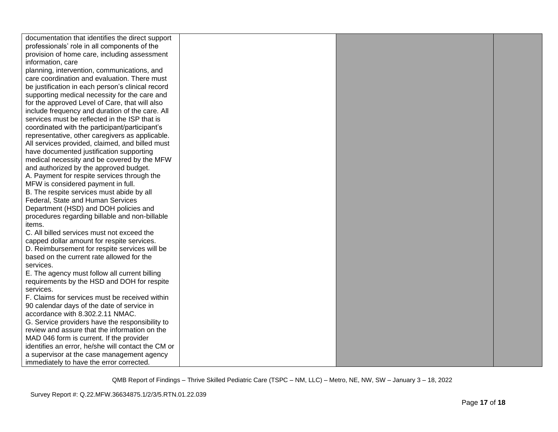| documentation that identifies the direct support   |  |  |
|----------------------------------------------------|--|--|
| professionals' role in all components of the       |  |  |
| provision of home care, including assessment       |  |  |
| information, care                                  |  |  |
| planning, intervention, communications, and        |  |  |
| care coordination and evaluation. There must       |  |  |
| be justification in each person's clinical record  |  |  |
| supporting medical necessity for the care and      |  |  |
| for the approved Level of Care, that will also     |  |  |
| include frequency and duration of the care. All    |  |  |
| services must be reflected in the ISP that is      |  |  |
| coordinated with the participant/participant's     |  |  |
| representative, other caregivers as applicable.    |  |  |
| All services provided, claimed, and billed must    |  |  |
| have documented justification supporting           |  |  |
| medical necessity and be covered by the MFW        |  |  |
| and authorized by the approved budget.             |  |  |
| A. Payment for respite services through the        |  |  |
| MFW is considered payment in full.                 |  |  |
| B. The respite services must abide by all          |  |  |
| Federal, State and Human Services                  |  |  |
| Department (HSD) and DOH policies and              |  |  |
| procedures regarding billable and non-billable     |  |  |
| items.                                             |  |  |
| C. All billed services must not exceed the         |  |  |
| capped dollar amount for respite services.         |  |  |
| D. Reimbursement for respite services will be      |  |  |
| based on the current rate allowed for the          |  |  |
| services.                                          |  |  |
| E. The agency must follow all current billing      |  |  |
| requirements by the HSD and DOH for respite        |  |  |
| services.                                          |  |  |
| F. Claims for services must be received within     |  |  |
| 90 calendar days of the date of service in         |  |  |
| accordance with 8.302.2.11 NMAC.                   |  |  |
| G. Service providers have the responsibility to    |  |  |
| review and assure that the information on the      |  |  |
| MAD 046 form is current. If the provider           |  |  |
| identifies an error, he/she will contact the CM or |  |  |
| a supervisor at the case management agency         |  |  |
| immediately to have the error corrected.           |  |  |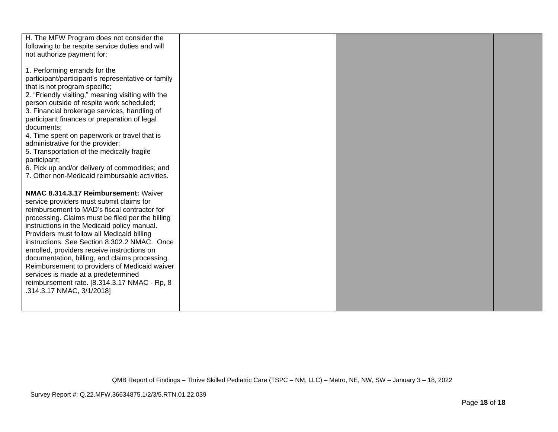| H. The MFW Program does not consider the                                                    |  |  |
|---------------------------------------------------------------------------------------------|--|--|
| following to be respite service duties and will                                             |  |  |
| not authorize payment for:                                                                  |  |  |
|                                                                                             |  |  |
| 1. Performing errands for the<br>participant/participant's representative or family         |  |  |
| that is not program specific;                                                               |  |  |
| 2. "Friendly visiting," meaning visiting with the                                           |  |  |
| person outside of respite work scheduled;                                                   |  |  |
| 3. Financial brokerage services, handling of                                                |  |  |
| participant finances or preparation of legal                                                |  |  |
| documents;                                                                                  |  |  |
| 4. Time spent on paperwork or travel that is                                                |  |  |
| administrative for the provider;                                                            |  |  |
| 5. Transportation of the medically fragile                                                  |  |  |
| participant;                                                                                |  |  |
| 6. Pick up and/or delivery of commodities; and                                              |  |  |
| 7. Other non-Medicaid reimbursable activities.                                              |  |  |
|                                                                                             |  |  |
| NMAC 8.314.3.17 Reimbursement: Waiver                                                       |  |  |
| service providers must submit claims for                                                    |  |  |
| reimbursement to MAD's fiscal contractor for                                                |  |  |
| processing. Claims must be filed per the billing                                            |  |  |
| instructions in the Medicaid policy manual.                                                 |  |  |
| Providers must follow all Medicaid billing                                                  |  |  |
| instructions. See Section 8.302.2 NMAC. Once<br>enrolled, providers receive instructions on |  |  |
| documentation, billing, and claims processing.                                              |  |  |
| Reimbursement to providers of Medicaid waiver                                               |  |  |
| services is made at a predetermined                                                         |  |  |
| reimbursement rate. [8.314.3.17 NMAC - Rp, 8                                                |  |  |
| .314.3.17 NMAC, 3/1/2018]                                                                   |  |  |
|                                                                                             |  |  |
|                                                                                             |  |  |